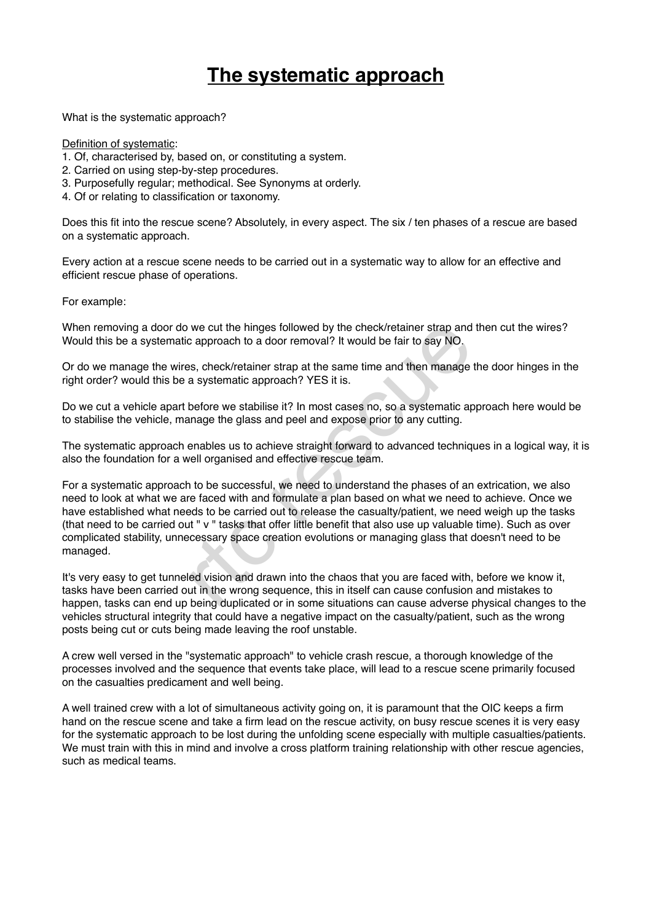## **The systematic approach**

What is the systematic approach?

Definition of systematic:

- 1. Of, characterised by, based on, or constituting a system.
- 2. Carried on using step-by-step procedures.
- 3. Purposefully regular; methodical. See Synonyms at orderly.
- 4. Of or relating to classification or taxonomy.

Does this fit into the rescue scene? Absolutely, in every aspect. The six / ten phases of a rescue are based on a systematic approach.

Every action at a rescue scene needs to be carried out in a systematic way to allow for an effective and efficient rescue phase of operations.

For example:

When removing a door do we cut the hinges followed by the check/retainer strap and then cut the wires? Would this be a systematic approach to a door removal? It would be fair to say NO.

Or do we manage the wires, check/retainer strap at the same time and then manage the door hinges in the right order? would this be a systematic approach? YES it is.

Do we cut a vehicle apart before we stabilise it? In most cases no, so a systematic approach here would be to stabilise the vehicle, manage the glass and peel and expose prior to any cutting.

The systematic approach enables us to achieve straight forward to advanced techniques in a logical way, it is also the foundation for a well organised and effective rescue team.

For a systematic approach to be successful, we need to understand the phases of an extrication, we also need to look at what we are faced with and formulate a plan based on what we need to achieve. Once we have established what needs to be carried out to release the casualty/patient, we need weigh up the tasks (that need to be carried out " v " tasks that offer little benefit that also use up valuable time). Such as over complicated stability, unnecessary space creation evolutions or managing glass that doesn't need to be managed. we cut the hinges followed by the check/retainer strap and<br>c approach to a door removal? It would be fair to say NO.<br>ss, check/retainer strap at the same time and then manage<br>a systematic approach? YES it is.<br>before we sta

It's very easy to get tunneled vision and drawn into the chaos that you are faced with, before we know it, tasks have been carried out in the wrong sequence, this in itself can cause confusion and mistakes to happen, tasks can end up being duplicated or in some situations can cause adverse physical changes to the vehicles structural integrity that could have a negative impact on the casualty/patient, such as the wrong posts being cut or cuts being made leaving the roof unstable.

A crew well versed in the "systematic approach" to vehicle crash rescue, a thorough knowledge of the processes involved and the sequence that events take place, will lead to a rescue scene primarily focused on the casualties predicament and well being.

A well trained crew with a lot of simultaneous activity going on, it is paramount that the OIC keeps a firm hand on the rescue scene and take a firm lead on the rescue activity, on busy rescue scenes it is very easy for the systematic approach to be lost during the unfolding scene especially with multiple casualties/patients. We must train with this in mind and involve a cross platform training relationship with other rescue agencies, such as medical teams.